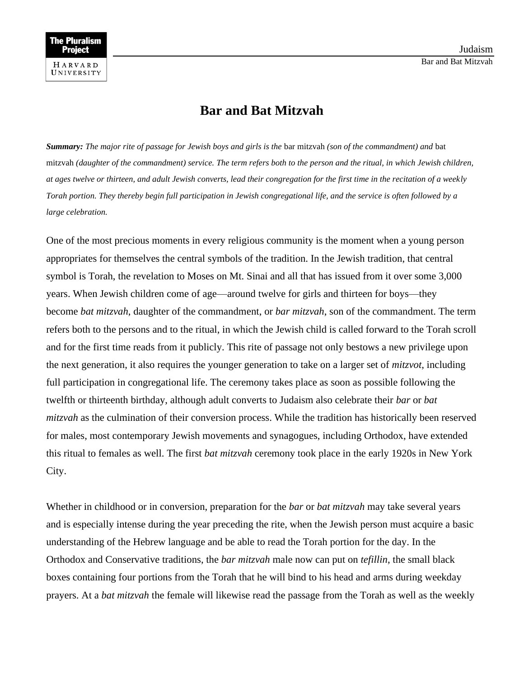## **Bar and Bat Mitzvah**

*Summary: The major rite of passage for Jewish boys and girls is the* bar mitzvah *(son of the commandment) and* bat mitzvah *(daughter of the commandment) service. The term refers both to the person and the ritual, in which Jewish children, at ages twelve or thirteen, and adult Jewish converts, lead their congregation for the first time in the recitation of a weekly Torah portion. They thereby begin full participation in Jewish congregational life, and the service is often followed by a large celebration.*

One of the most precious moments in every religious community is the moment when a young person appropriates for themselves the central symbols of the tradition. In the Jewish tradition, that central symbol is Torah, the revelation to Moses on Mt. Sinai and all that has issued from it over some 3,000 years. When Jewish children come of age—around twelve for girls and thirteen for boys—they become *bat mitzvah*, daughter of the commandment, or *bar mitzvah*, son of the commandment. The term refers both to the persons and to the ritual, in which the Jewish child is called forward to the Torah scroll and for the first time reads from it publicly. This rite of passage not only bestows a new privilege upon the next generation, it also requires the younger generation to take on a larger set of *mitzvot*, including full participation in congregational life. The ceremony takes place as soon as possible following the twelfth or thirteenth birthday, although adult converts to Judaism also celebrate their *bar* or *bat mitzvah* as the culmination of their conversion process. While the tradition has historically been reserved for males, most contemporary Jewish movements and synagogues, including Orthodox, have extended this ritual to females as well. The first *bat mitzvah* ceremony took place in the early 1920s in New York City.

Whether in childhood or in conversion, preparation for the *bar* or *bat mitzvah* may take several years and is especially intense during the year preceding the rite, when the Jewish person must acquire a basic understanding of the Hebrew language and be able to read the Torah portion for the day. In the Orthodox and Conservative traditions, the *bar mitzvah* male now can put on *tefillin*, the small black boxes containing four portions from the Torah that he will bind to his head and arms during weekday prayers. At a *bat mitzvah* the female will likewise read the passage from the Torah as well as the weekly